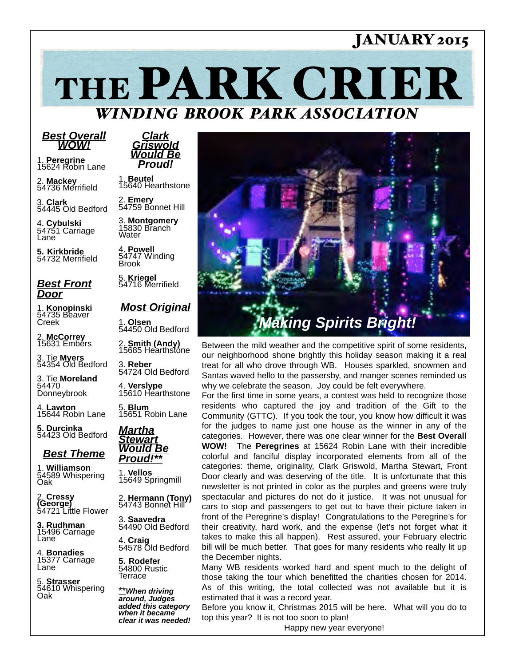## JANUARY 2015

THE PARK CRIER *WINDING BROOK PARK ASSOCIATION*

#### *Best Overall WOW!*

1. **Peregrine**<br>15624 Robin Lane

2. **Mackey** 54736 Merrifield

3. **Clark** 54445 Old Bedford

4. **Cybulski**<br>54751 Carriage Lane

**5. Kirkbride** 54732 Merrifield

### *Best Front Door*

1. **Konopinski** 54735 Beaver Creek

2. **McCorrey** 15631 Embers

3. Tie **Myers** 54354 Old Bedford

3. Tie **Moreland** 54470 Donneybrook

4. **Lawton** 15644 Robin Lane

**5. Durcinka** 54423 Old Bedford

### *Best Theme*

1. **Williamson** 54589 Whispering Oak

2. **Cressy (George)** 54721 Little Flower

**3. Rudhman** 15496 Carriage Lane

4. **Bonadies** 15377 Carriage Lane

5. **Strasser** 54610 Whispering Oak

*Clark Griswold Would Be Proud!*

1. **Beutel** 15640 Hearthstone

2. **Emery** 54759 Bonnet Hill

3. **Montgomery**<br>15830 Branch Water

4. **Powell** 54747 Winding Brook

5. **Kriegel** 54716 Merrifield

### *Most Original*

1. **Olsen** 54450 Old Bedford

2. **Smith (Andy)** 15685 Hearthstone

3. **Reber** 54724 Old Bedford

4. **Verslype** 15610 Hearthstone

5. **Blum** 15651 Robin Lane



1. **Vellos**

2. **Hermann (Tony)** 54743 Bonnet Hill

4. **Craig** 54578 Old Bedford

**5. Rodefer** 54800 Rustic Terrace

\*\**When driving around, Judges added this category when it became clear it was needed!*



Between the mild weather and the competitive spirit of some residents, our neighborhood shone brightly this holiday season making it a real treat for all who drove through WB. Houses sparkled, snowmen and Santas waved hello to the passersby, and manger scenes reminded us why we celebrate the season. Joy could be felt everywhere.

For the first time in some years, a contest was held to recognize those residents who captured the joy and tradition of the Gift to the Community (GTTC). If you took the tour, you know how difficult it was for the judges to name just one house as the winner in any of the categories. However, there was one clear winner for the **Best Overall WOW!** The **Peregrines** at 15624 Robin Lane with their incredible colorful and fanciful display incorporated elements from all of the categories: theme, originality, Clark Griswold, Martha Stewart, Front Door clearly and was deserving of the title. It is unfortunate that this newsletter is not printed in color as the purples and greens were truly spectacular and pictures do not do it justice. It was not unusual for cars to stop and passengers to get out to have their picture taken in front of the Peregrine's display! Congratulations to the Peregrine's for their creativity, hard work, and the expense (let's not forget what it takes to make this all happen). Rest assured, your February electric bill will be much better. That goes for many residents who really lit up the December nights.

Many WB residents worked hard and spent much to the delight of those taking the tour which benefitted the charities chosen for 2014. As of this writing, the total collected was not available but it is estimated that it was a record year.

Before you know it, Christmas 2015 will be here. What will you do to top this year? It is not too soon to plan!

Happy new year everyone!



15649 Springmill

3. **Saavedra** 54490 Old Bedford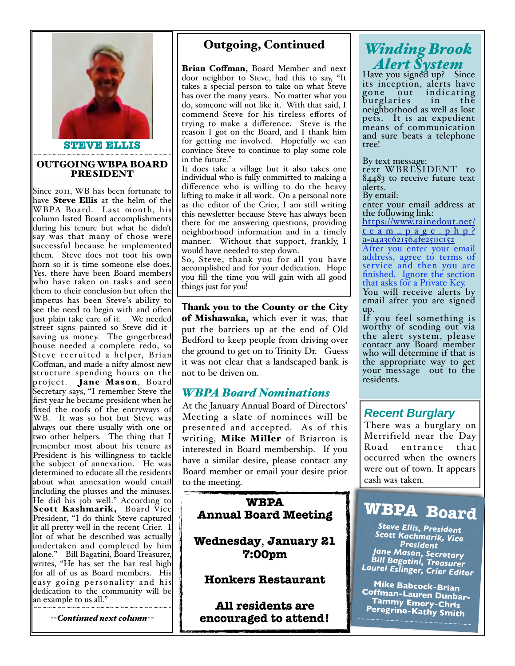

#### OUTGOING WBPA BOARD PRESIDENT

Since 2011, WB has been fortunate to have Steve Ellis at the helm of the WBPA Board. Last month, his column listed Board accomplishments during his tenure but what he didn't say was that many of those were successful because he implemented them. Steve does not toot his own horn so it is time someone else does. Yes, there have been Board members who have taken on tasks and seen them to their conclusion but often the impetus has been Steve's ability to see the need to begin with and often just plain take care of it. We needed street signs painted so Steve did itsaving us money. The gingerbread house needed a complete redo, so Steve recr uited a helper, Brian Coffman, and made a nifty almost new structure spending hours on the project. Jane Mason, Board Secretary says, "I remember Steve the first year he became president when he fixed the roofs of the entryways of WB. It was so hot but Steve was always out there usually with one or two other helpers. The thing that I remember most about his tenure as President is his willingness to tackle the subject of annexation. He was determined to educate all the residents about what annexation would entail including the plusses and the minuses. He did his job well." According to Scott Kashmarik, Board Vice President, "I do think Steve captured it all pretty well in the recent Crier. I lot of what he described was actually undertaken and completed by him alone." Bill Bagatini, Board Treasurer, writes, "He has set the bar real high for all of us as Board members. His easy going personality and his dedication to the community will be an example to us all."

*--Continued next column--*

## Outgoing, Continued

Brian Coffman, Board Member and next door neighbor to Steve, had this to say, "It takes a special person to take on what Steve has over the many years. No matter what you do, someone will not like it. With that said, I commend Steve for his tireless efforts of trying to make a difference. Steve is the reason I got on the Board, and I thank him for getting me involved. Hopefully we can convince Steve to continue to play some role in the future."

It does take a village but it also takes one individual who is fully committed to making a difference who is willing to do the heavy lifting to make it all work. On a personal note as the editor of the Crier, I am still writing this newsletter because Steve has always been there for me answering questions, providing neighborhood information and in a timely manner. Without that support, frankly, I would have needed to step down.

So, Steve, thank you for all you have accomplished and for your dedication. Hope you fill the time you will gain with all good things just for you!

**T**hank you to the County or the City of Mishawaka, which ever it was, that put the barriers up at the end of Old Bedford to keep people from driving over the ground to get on to Trinity Dr. Guess it was not clear that a landscaped bank is not to be driven on.

### *WBPA Board Nominations*

At the January Annual Board of Directors' Meeting a slate of nominees will be presented and accepted. As of this writing, Mike Miller of Briarton is interested in Board membership. If you have a similar desire, please contact any Board member or email your desire prior to the meeting.

### **WBPA Annual Board Meeting**

**Wednesday**, **January 21 7:00pm**

### **Honkers Restaurant**

**All residents are encouraged to attend!**

# *Winding Brook Alert System* Have you signed up? Since

its inception, alerts have gone out indicating burglaries in the neighborhood as well as lost pets. It is an expedient means of communication and sure beats a telephone tree!

By text message:

text WBRESIDENT to 84483 to receive future text alerts.

By email:

enter your email address at the following link:

[https://www.rainedout.net/](https://www.rainedout.net/team_page.php?a=a4a3c621564fe250c152) [team\\_page.php?](https://www.rainedout.net/team_page.php?a=a4a3c621564fe250c152) [a=a4a3c621564fe250c152](https://www.rainedout.net/team_page.php?a=a4a3c621564fe250c152)

After you enter your email address, agree to terms of service and then you are finished. Ignore the section that asks for a Private Key.

You will receive alerts by email after you are signed up.

If you feel something is worthy of sending out via the alert system, please contact any Board member who will determine if that is the appropriate way to get your message out to the residents.

## *Recent Burglary*

There was a burglary on Merrifield near the Day Road entrance that occurred when the owners were out of town. It appears cash was taken.

# **WBPA Board**

*Steve Ellis, President Scott Kachmarik, Vice President Jane Mason, Secretary Bill Bagatini, Treasurer Laurel Eslinger, Crier Editor*

**Mike Babcock-Brian Coffman-Lauren Dunbar- Tammy Emery-Chris Peregrine-Kathy Smith**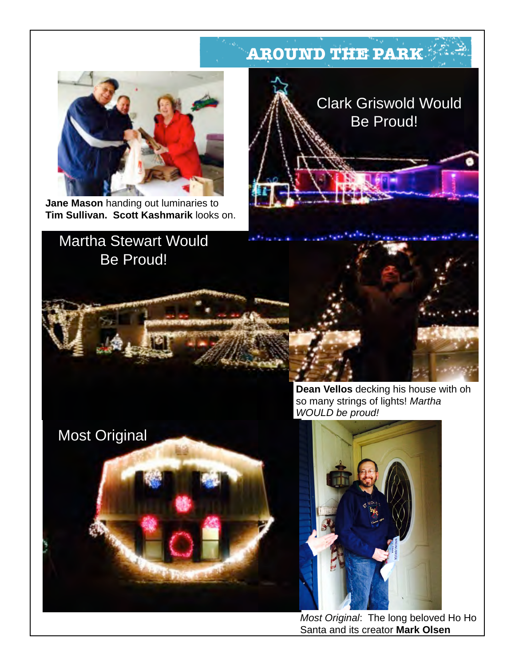# **AROUND THE PARK**



**Jane Mason** handing out luminaries to **Tim Sullivan. Scott Kashmarik** looks on.

Most Original





**Dean Vellos** decking his house with oh so many strings of lights! *Martha WOULD be proud!*



*Most Original*: The long beloved Ho Ho Santa and its creator **Mark Olsen**